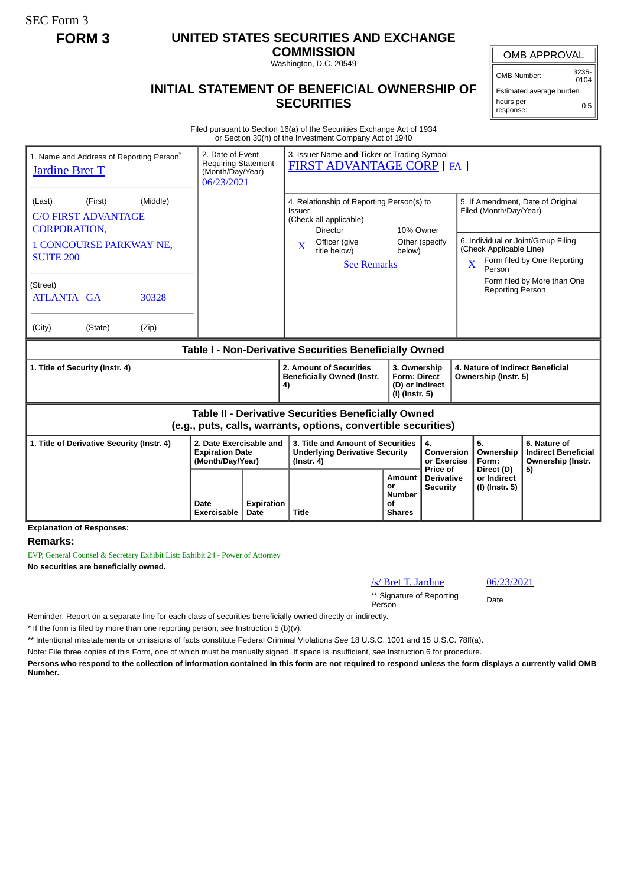SEC Form 3

## **FORM 3 UNITED STATES SECURITIES AND EXCHANGE**

**COMMISSION** Washington, D.C. 20549

## **INITIAL STATEMENT OF BENEFICIAL OWNERSHIP OF SECURITIES**

OMB APPROVAL

OMB Number: 3235-  $0104$ 

Estimated average burden hours per response: 0.5

Filed pursuant to Section 16(a) of the Securities Exchange Act of 1934 or Section 30(h) of the Investment Company Act of 1940

| 1. Name and Address of Reporting Person <sup>®</sup><br><b>Jardine Bret T</b>                                         | 2. Date of Event<br>(Month/Day/Year)<br>06/23/2021 | 3. Issuer Name and Ticker or Trading Symbol<br><b>Requiring Statement</b><br><b>FIRST ADVANTAGE CORP [FA ]</b> |                                                                                                               |                                                                          |                                             |                                                                                                              |                                                                       |
|-----------------------------------------------------------------------------------------------------------------------|----------------------------------------------------|----------------------------------------------------------------------------------------------------------------|---------------------------------------------------------------------------------------------------------------|--------------------------------------------------------------------------|---------------------------------------------|--------------------------------------------------------------------------------------------------------------|-----------------------------------------------------------------------|
| (Middle)<br>(First)<br>(Last)<br><b>C/O FIRST ADVANTAGE</b><br><b>CORPORATION.</b>                                    |                                                    |                                                                                                                | 4. Relationship of Reporting Person(s) to<br>Issuer<br>(Check all applicable)<br><b>Director</b><br>10% Owner |                                                                          |                                             | 5. If Amendment, Date of Original<br>Filed (Month/Day/Year)                                                  |                                                                       |
| <b>1 CONCOURSE PARKWAY NE,</b><br><b>SUITE 200</b>                                                                    |                                                    |                                                                                                                | Officer (give<br>$\mathbf{X}$<br>title below)<br><b>See Remarks</b>                                           | Other (specify<br>below)                                                 |                                             | 6. Individual or Joint/Group Filing<br>(Check Applicable Line)<br>Form filed by One Reporting<br>X<br>Person |                                                                       |
| (Street)<br>ATLANTA GA<br>30328                                                                                       |                                                    |                                                                                                                |                                                                                                               |                                                                          |                                             | <b>Reporting Person</b>                                                                                      | Form filed by More than One                                           |
| (City)<br>(State)<br>(Zip)                                                                                            |                                                    |                                                                                                                |                                                                                                               |                                                                          |                                             |                                                                                                              |                                                                       |
| Table I - Non-Derivative Securities Beneficially Owned                                                                |                                                    |                                                                                                                |                                                                                                               |                                                                          |                                             |                                                                                                              |                                                                       |
| 1. Title of Security (Instr. 4)                                                                                       |                                                    |                                                                                                                | 2. Amount of Securities<br><b>Beneficially Owned (Instr.</b><br>4)                                            | 3. Ownership<br><b>Form: Direct</b><br>(D) or Indirect<br>(I) (Instr. 5) |                                             | 4. Nature of Indirect Beneficial<br>Ownership (Instr. 5)                                                     |                                                                       |
| Table II - Derivative Securities Beneficially Owned<br>(e.g., puts, calls, warrants, options, convertible securities) |                                                    |                                                                                                                |                                                                                                               |                                                                          |                                             |                                                                                                              |                                                                       |
| 2. Date Exercisable and<br>1. Title of Derivative Security (Instr. 4)<br><b>Expiration Date</b><br>(Month/Day/Year)   |                                                    |                                                                                                                | 3. Title and Amount of Securities<br><b>Underlying Derivative Security</b><br>$($ lnstr. 4 $)$                |                                                                          | 4.<br>Conversion<br>or Exercise<br>Price of | 5.<br>Ownership<br>Form:<br>Direct (D)                                                                       | 6. Nature of<br><b>Indirect Beneficial</b><br>Ownership (Instr.<br>5) |
|                                                                                                                       | Date<br><b>Exercisable</b>                         | Expiration<br>Date                                                                                             | <b>Title</b>                                                                                                  | Amount<br>or<br>Number<br>Οf<br><b>Shares</b>                            | <b>Derivative</b><br><b>Security</b>        | or Indirect<br>(I) (Instr. 5)                                                                                |                                                                       |

**Remarks:**

EVP, General Counsel & Secretary Exhibit List: Exhibit 24 - Power of Attorney **No securities are beneficially owned.**

/s/ Bret T. Jardine 06/23/2021

\*\* Signature of Reporting Person Date

Reminder: Report on a separate line for each class of securities beneficially owned directly or indirectly.

\* If the form is filed by more than one reporting person, *see* Instruction 5 (b)(v).

\*\* Intentional misstatements or omissions of facts constitute Federal Criminal Violations *See* 18 U.S.C. 1001 and 15 U.S.C. 78ff(a).

Note: File three copies of this Form, one of which must be manually signed. If space is insufficient, *see* Instruction 6 for procedure.

**Persons who respond to the collection of information contained in this form are not required to respond unless the form displays a currently valid OMB Number.**